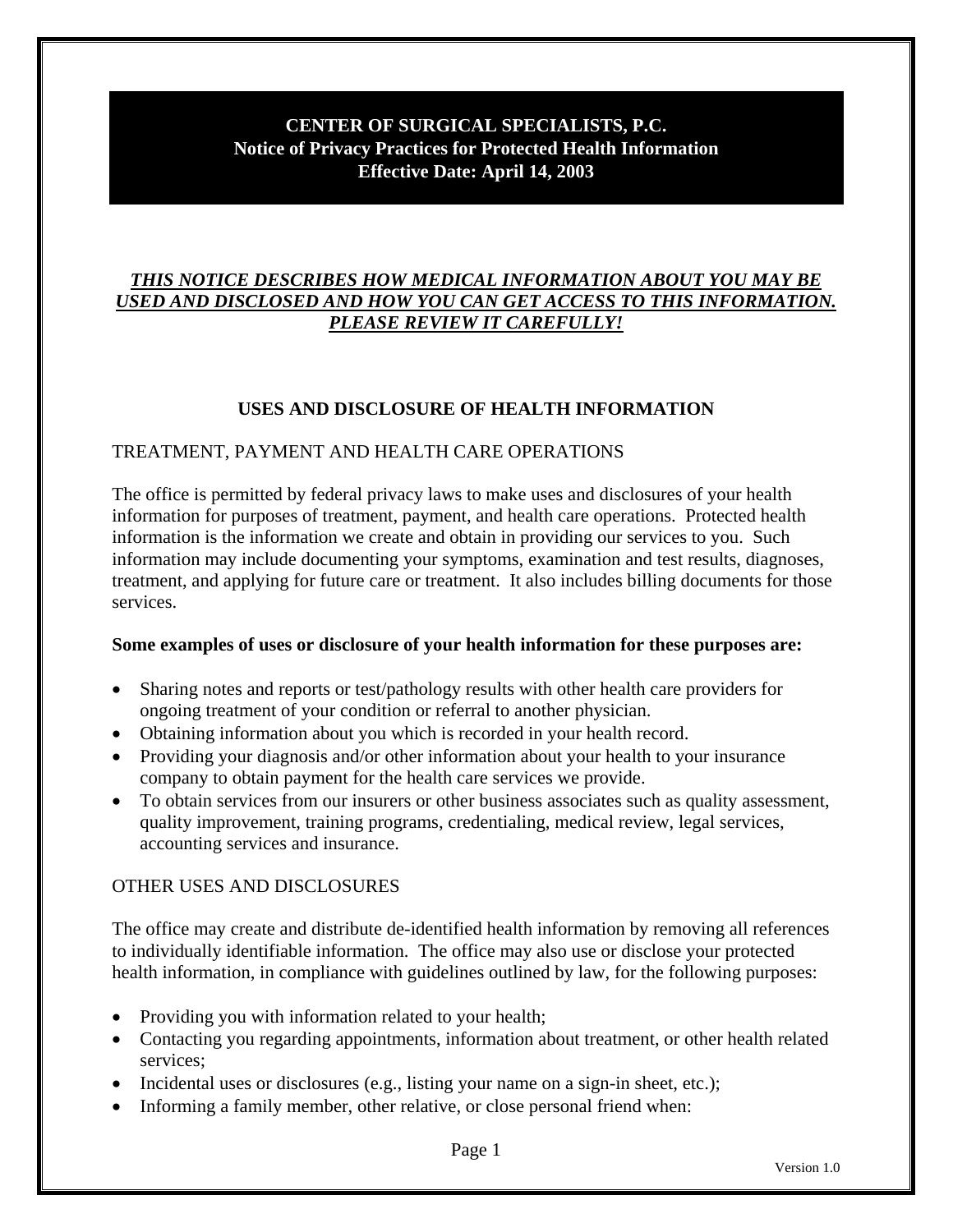# **CENTER OF SURGICAL SPECIALISTS, P.C. Notice of Privacy Practices for Protected Health Information Effective Date: April 14, 2003**

# *THIS NOTICE DESCRIBES HOW MEDICAL INFORMATION ABOUT YOU MAY BE USED AND DISCLOSED AND HOW YOU CAN GET ACCESS TO THIS INFORMATION. PLEASE REVIEW IT CAREFULLY!*

# **USES AND DISCLOSURE OF HEALTH INFORMATION**

# TREATMENT, PAYMENT AND HEALTH CARE OPERATIONS

The office is permitted by federal privacy laws to make uses and disclosures of your health information for purposes of treatment, payment, and health care operations. Protected health information is the information we create and obtain in providing our services to you. Such information may include documenting your symptoms, examination and test results, diagnoses, treatment, and applying for future care or treatment. It also includes billing documents for those services.

# **Some examples of uses or disclosure of your health information for these purposes are:**

- Sharing notes and reports or test/pathology results with other health care providers for ongoing treatment of your condition or referral to another physician.
- Obtaining information about you which is recorded in your health record.
- Providing your diagnosis and/or other information about your health to your insurance company to obtain payment for the health care services we provide.
- To obtain services from our insurers or other business associates such as quality assessment, quality improvement, training programs, credentialing, medical review, legal services, accounting services and insurance.

# OTHER USES AND DISCLOSURES

The office may create and distribute de-identified health information by removing all references to individually identifiable information. The office may also use or disclose your protected health information, in compliance with guidelines outlined by law, for the following purposes:

- Providing you with information related to your health;
- Contacting you regarding appointments, information about treatment, or other health related services;
- Incidental uses or disclosures (e.g., listing your name on a sign-in sheet, etc.);
- Informing a family member, other relative, or close personal friend when: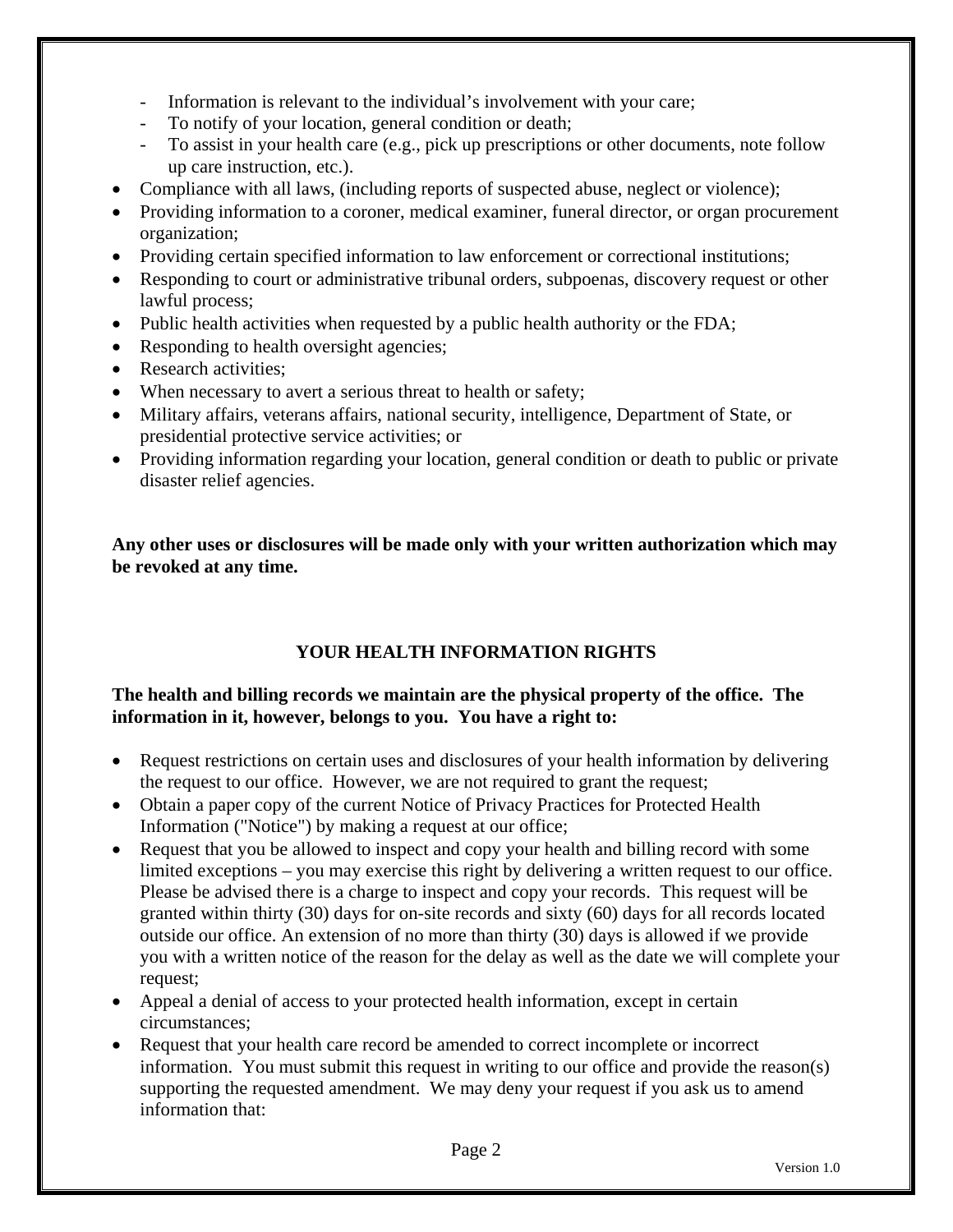- Information is relevant to the individual's involvement with your care;
- To notify of your location, general condition or death;
- To assist in your health care (e.g., pick up prescriptions or other documents, note follow up care instruction, etc.).
- Compliance with all laws, (including reports of suspected abuse, neglect or violence);
- Providing information to a coroner, medical examiner, funeral director, or organ procurement organization;
- Providing certain specified information to law enforcement or correctional institutions;
- Responding to court or administrative tribunal orders, subpoenas, discovery request or other lawful process;
- Public health activities when requested by a public health authority or the FDA;
- Responding to health oversight agencies;
- Research activities;
- When necessary to avert a serious threat to health or safety;
- Military affairs, veterans affairs, national security, intelligence, Department of State, or presidential protective service activities; or
- Providing information regarding your location, general condition or death to public or private disaster relief agencies.

**Any other uses or disclosures will be made only with your written authorization which may be revoked at any time.** 

# **YOUR HEALTH INFORMATION RIGHTS**

# **The health and billing records we maintain are the physical property of the office. The information in it, however, belongs to you. You have a right to:**

- Request restrictions on certain uses and disclosures of your health information by delivering the request to our office. However, we are not required to grant the request;
- Obtain a paper copy of the current Notice of Privacy Practices for Protected Health Information ("Notice") by making a request at our office;
- Request that you be allowed to inspect and copy your health and billing record with some limited exceptions – you may exercise this right by delivering a written request to our office. Please be advised there is a charge to inspect and copy your records. This request will be granted within thirty (30) days for on-site records and sixty (60) days for all records located outside our office. An extension of no more than thirty (30) days is allowed if we provide you with a written notice of the reason for the delay as well as the date we will complete your request;
- Appeal a denial of access to your protected health information, except in certain circumstances;
- Request that your health care record be amended to correct incomplete or incorrect information. You must submit this request in writing to our office and provide the reason(s) supporting the requested amendment. We may deny your request if you ask us to amend information that: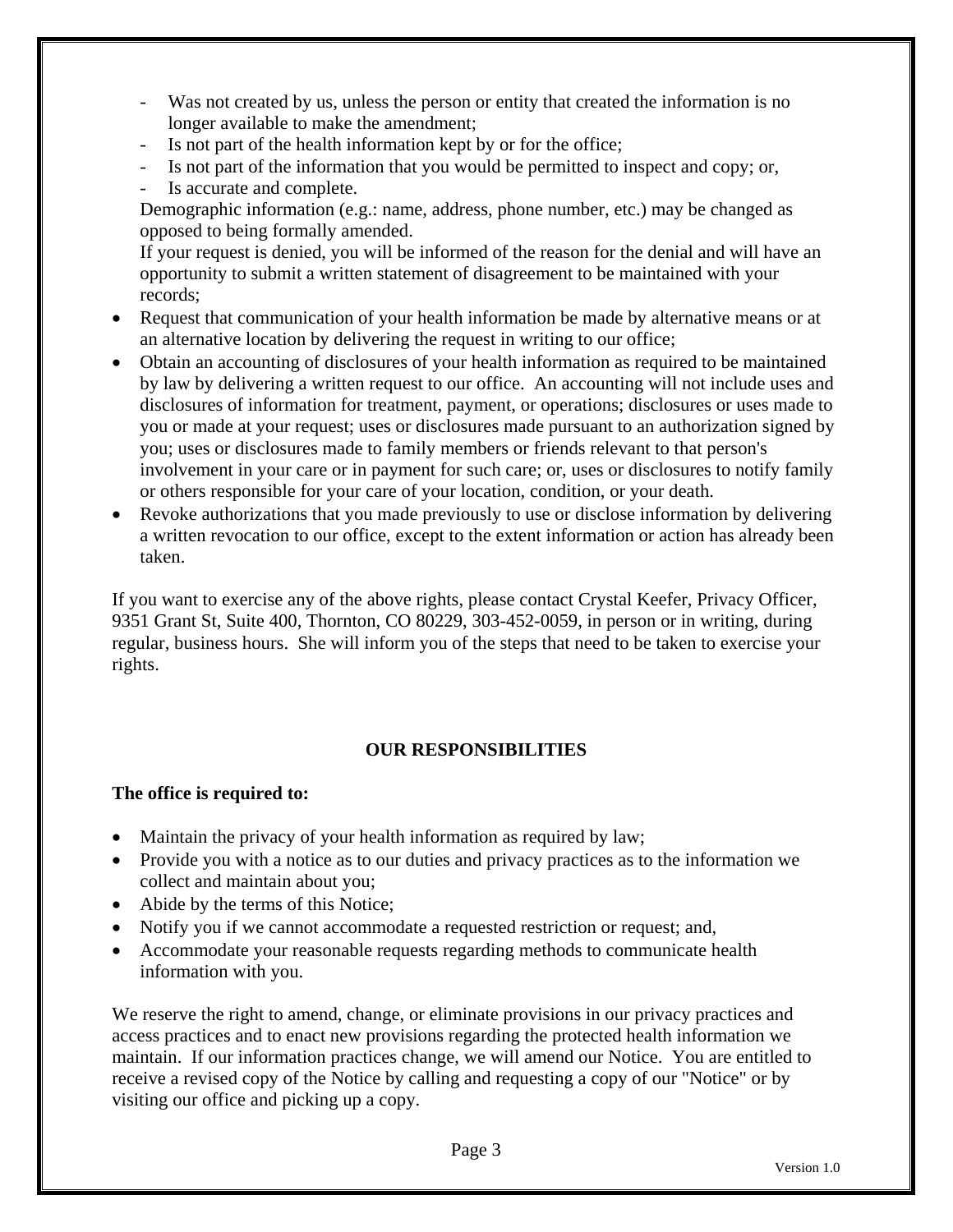- Was not created by us, unless the person or entity that created the information is no longer available to make the amendment;
- Is not part of the health information kept by or for the office;
- Is not part of the information that you would be permitted to inspect and copy; or,
- Is accurate and complete.

Demographic information (e.g.: name, address, phone number, etc.) may be changed as opposed to being formally amended.

If your request is denied, you will be informed of the reason for the denial and will have an opportunity to submit a written statement of disagreement to be maintained with your records;

- Request that communication of your health information be made by alternative means or at an alternative location by delivering the request in writing to our office;
- Obtain an accounting of disclosures of your health information as required to be maintained by law by delivering a written request to our office. An accounting will not include uses and disclosures of information for treatment, payment, or operations; disclosures or uses made to you or made at your request; uses or disclosures made pursuant to an authorization signed by you; uses or disclosures made to family members or friends relevant to that person's involvement in your care or in payment for such care; or, uses or disclosures to notify family or others responsible for your care of your location, condition, or your death.
- Revoke authorizations that you made previously to use or disclose information by delivering a written revocation to our office, except to the extent information or action has already been taken.

If you want to exercise any of the above rights, please contact Crystal Keefer, Privacy Officer, 9351 Grant St, Suite 400, Thornton, CO 80229, 303-452-0059, in person or in writing, during regular, business hours. She will inform you of the steps that need to be taken to exercise your rights.

# **OUR RESPONSIBILITIES**

# **The office is required to:**

- Maintain the privacy of your health information as required by law;
- Provide you with a notice as to our duties and privacy practices as to the information we collect and maintain about you;
- Abide by the terms of this Notice;
- Notify you if we cannot accommodate a requested restriction or request; and,
- Accommodate your reasonable requests regarding methods to communicate health information with you.

We reserve the right to amend, change, or eliminate provisions in our privacy practices and access practices and to enact new provisions regarding the protected health information we maintain. If our information practices change, we will amend our Notice. You are entitled to receive a revised copy of the Notice by calling and requesting a copy of our "Notice" or by visiting our office and picking up a copy.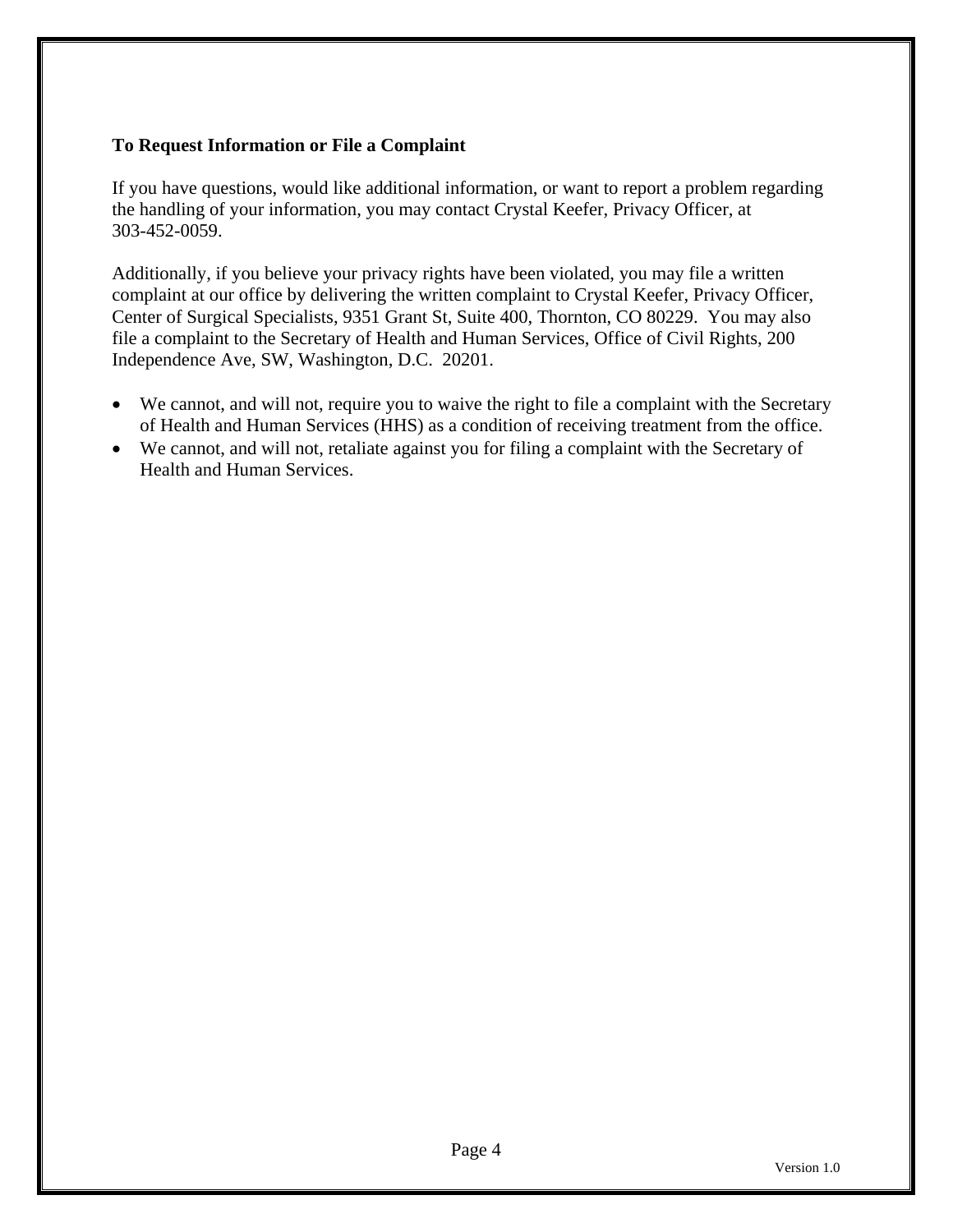# **To Request Information or File a Complaint**

If you have questions, would like additional information, or want to report a problem regarding the handling of your information, you may contact Crystal Keefer, Privacy Officer, at 303-452-0059.

Additionally, if you believe your privacy rights have been violated, you may file a written complaint at our office by delivering the written complaint to Crystal Keefer, Privacy Officer, Center of Surgical Specialists, 9351 Grant St, Suite 400, Thornton, CO 80229. You may also file a complaint to the Secretary of Health and Human Services, Office of Civil Rights, 200 Independence Ave, SW, Washington, D.C. 20201.

- We cannot, and will not, require you to waive the right to file a complaint with the Secretary of Health and Human Services (HHS) as a condition of receiving treatment from the office.
- We cannot, and will not, retaliate against you for filing a complaint with the Secretary of Health and Human Services.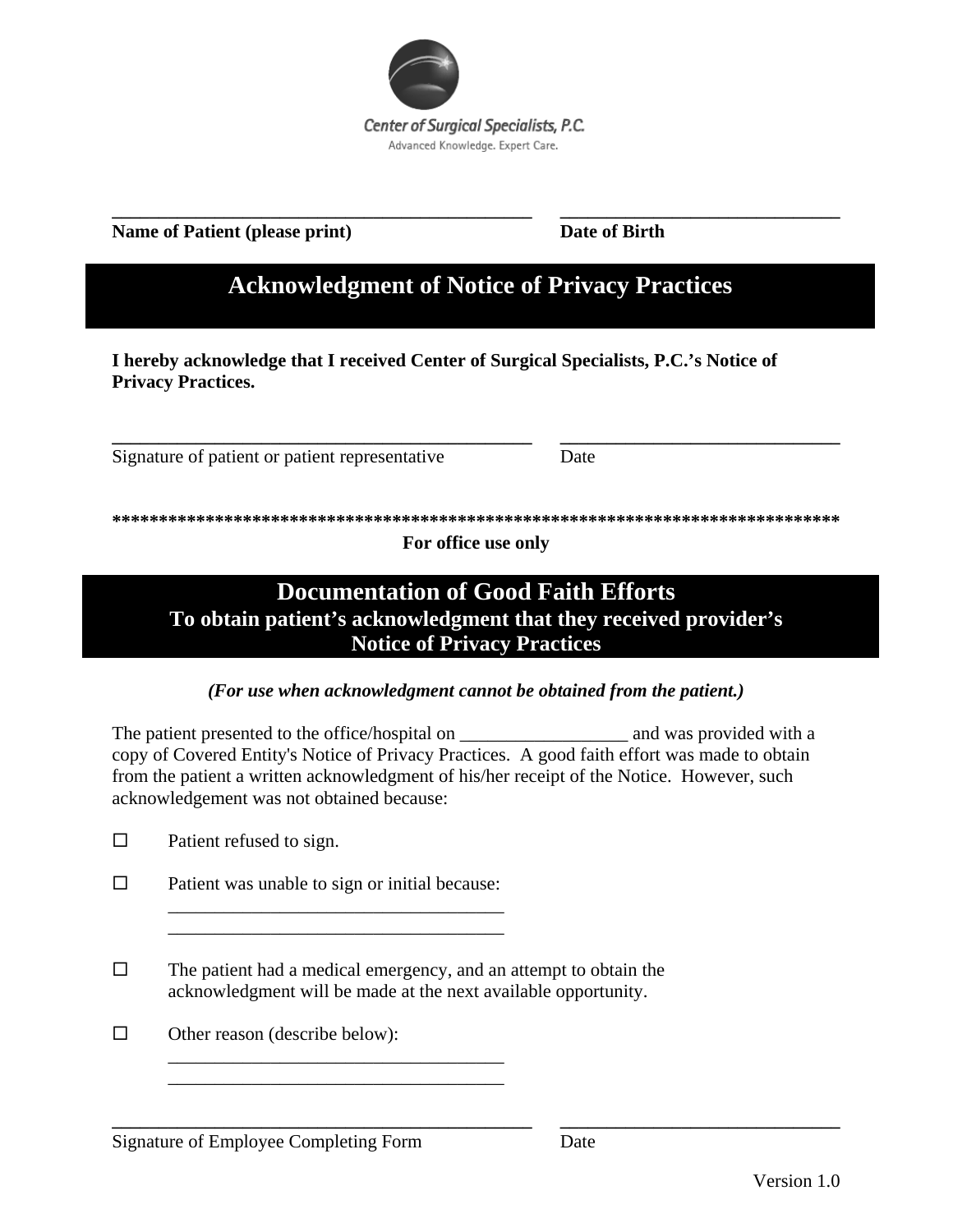

# **Name of Patient (please print)** Date of Birth

**\_\_\_\_\_\_\_\_\_\_\_\_\_\_\_\_\_\_\_\_\_\_\_\_\_\_\_\_\_\_\_\_\_\_\_\_\_\_\_\_\_\_\_\_\_ \_\_\_\_\_\_\_\_\_\_\_\_\_\_\_\_\_\_\_\_\_\_\_\_\_\_\_\_\_\_** 

# **Acknowledgment of Notice of Privacy Practices**

**I hereby acknowledge that I received Center of Surgical Specialists, P.C.'s Notice of Privacy Practices.** 

Signature of patient or patient representative Date

**\*\*\*\*\*\*\*\*\*\*\*\*\*\*\*\*\*\*\*\*\*\*\*\*\*\*\*\*\*\*\*\*\*\*\*\*\*\*\*\*\*\*\*\*\*\*\*\*\*\*\*\*\*\*\*\*\*\*\*\*\*\*\*\*\*\*\*\*\*\*\*\*\*\*\*\*\*\*** 

**\_\_\_\_\_\_\_\_\_\_\_\_\_\_\_\_\_\_\_\_\_\_\_\_\_\_\_\_\_\_\_\_\_\_\_\_\_\_\_\_\_\_\_\_\_ \_\_\_\_\_\_\_\_\_\_\_\_\_\_\_\_\_\_\_\_\_\_\_\_\_\_\_\_\_\_** 

**For office use only** 

# **Documentation of Good Faith Efforts To obtain patient's acknowledgment that they received provider's Notice of Privacy Practices**

*(For use when acknowledgment cannot be obtained from the patient.)* 

The patient presented to the office/hospital on  $\qquad$  and was provided with a copy of Covered Entity's Notice of Privacy Practices. A good faith effort was made to obtain from the patient a written acknowledgment of his/her receipt of the Notice. However, such acknowledgement was not obtained because:

 $\Box$  Patient refused to sign.

 $\square$  Patient was unable to sign or initial because:

\_\_\_\_\_\_\_\_\_\_\_\_\_\_\_\_\_\_\_\_\_\_\_\_\_\_\_\_\_\_\_\_\_\_\_\_ \_\_\_\_\_\_\_\_\_\_\_\_\_\_\_\_\_\_\_\_\_\_\_\_\_\_\_\_\_\_\_\_\_\_\_\_

\_\_\_\_\_\_\_\_\_\_\_\_\_\_\_\_\_\_\_\_\_\_\_\_\_\_\_\_\_\_\_\_\_\_\_\_ \_\_\_\_\_\_\_\_\_\_\_\_\_\_\_\_\_\_\_\_\_\_\_\_\_\_\_\_\_\_\_\_\_\_\_\_

- $\Box$  The patient had a medical emergency, and an attempt to obtain the acknowledgment will be made at the next available opportunity.
- $\Box$  Other reason (describe below):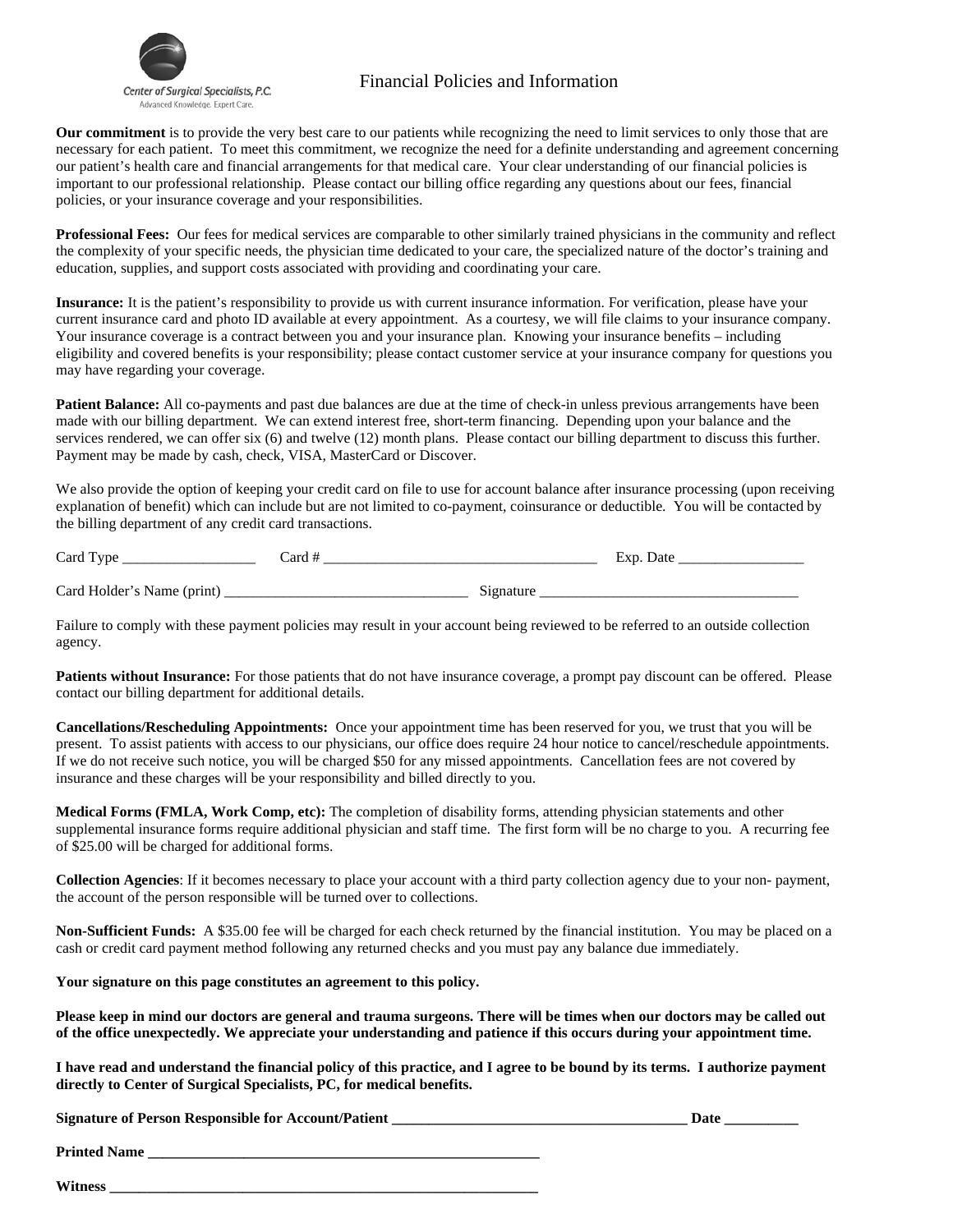

# Center of Surgical Specialists, P.C. Financial Policies and Information

**Our commitment** is to provide the very best care to our patients while recognizing the need to limit services to only those that are necessary for each patient. To meet this commitment, we recognize the need for a definite understanding and agreement concerning our patient's health care and financial arrangements for that medical care. Your clear understanding of our financial policies is important to our professional relationship. Please contact our billing office regarding any questions about our fees, financial policies, or your insurance coverage and your responsibilities.

**Professional Fees:** Our fees for medical services are comparable to other similarly trained physicians in the community and reflect the complexity of your specific needs, the physician time dedicated to your care, the specialized nature of the doctor's training and education, supplies, and support costs associated with providing and coordinating your care.

**Insurance:** It is the patient's responsibility to provide us with current insurance information. For verification, please have your current insurance card and photo ID available at every appointment. As a courtesy, we will file claims to your insurance company. Your insurance coverage is a contract between you and your insurance plan. Knowing your insurance benefits – including eligibility and covered benefits is your responsibility; please contact customer service at your insurance company for questions you may have regarding your coverage.

**Patient Balance:** All co-payments and past due balances are due at the time of check-in unless previous arrangements have been made with our billing department. We can extend interest free, short-term financing. Depending upon your balance and the services rendered, we can offer six (6) and twelve (12) month plans. Please contact our billing department to discuss this further. Payment may be made by cash, check, VISA, MasterCard or Discover.

We also provide the option of keeping your credit card on file to use for account balance after insurance processing (upon receiving explanation of benefit) which can include but are not limited to co-payment, coinsurance or deductible. You will be contacted by the billing department of any credit card transactions.

| Card<br><b>WIND</b>         | 'ord |     | Jat |
|-----------------------------|------|-----|-----|
| Card Holder<br>---<br>,,,,, |      | $-$ |     |

Failure to comply with these payment policies may result in your account being reviewed to be referred to an outside collection agency.

**Patients without Insurance:** For those patients that do not have insurance coverage, a prompt pay discount can be offered. Please contact our billing department for additional details.

**Cancellations/Rescheduling Appointments:** Once your appointment time has been reserved for you, we trust that you will be present. To assist patients with access to our physicians, our office does require 24 hour notice to cancel/reschedule appointments. If we do not receive such notice, you will be charged \$50 for any missed appointments. Cancellation fees are not covered by insurance and these charges will be your responsibility and billed directly to you.

**Medical Forms (FMLA, Work Comp, etc):** The completion of disability forms, attending physician statements and other supplemental insurance forms require additional physician and staff time. The first form will be no charge to you. A recurring fee of \$25.00 will be charged for additional forms.

**Collection Agencies**: If it becomes necessary to place your account with a third party collection agency due to your non- payment, the account of the person responsible will be turned over to collections.

**Non-Sufficient Funds:** A \$35.00 fee will be charged for each check returned by the financial institution. You may be placed on a cash or credit card payment method following any returned checks and you must pay any balance due immediately.

**Your signature on this page constitutes an agreement to this policy.** 

**Please keep in mind our doctors are general and trauma surgeons. There will be times when our doctors may be called out of the office unexpectedly. We appreciate your understanding and patience if this occurs during your appointment time.** 

**I have read and understand the financial policy of this practice, and I agree to be bound by its terms. I authorize payment directly to Center of Surgical Specialists, PC, for medical benefits.** 

**Signature of Person Responsible for Account/Patient \_\_\_\_\_\_\_\_\_\_\_\_\_\_\_\_\_\_\_\_\_\_\_\_\_\_\_\_\_\_\_\_\_\_\_\_\_\_\_\_ Date \_\_\_\_\_\_\_\_\_\_** 

**Printed Name** 

**Witness \_\_\_\_\_\_\_\_\_\_\_\_\_\_\_\_\_\_\_\_\_\_\_\_\_\_\_\_\_\_\_\_\_\_\_\_\_\_\_\_\_\_\_\_\_\_\_\_\_\_\_\_\_\_\_\_\_\_**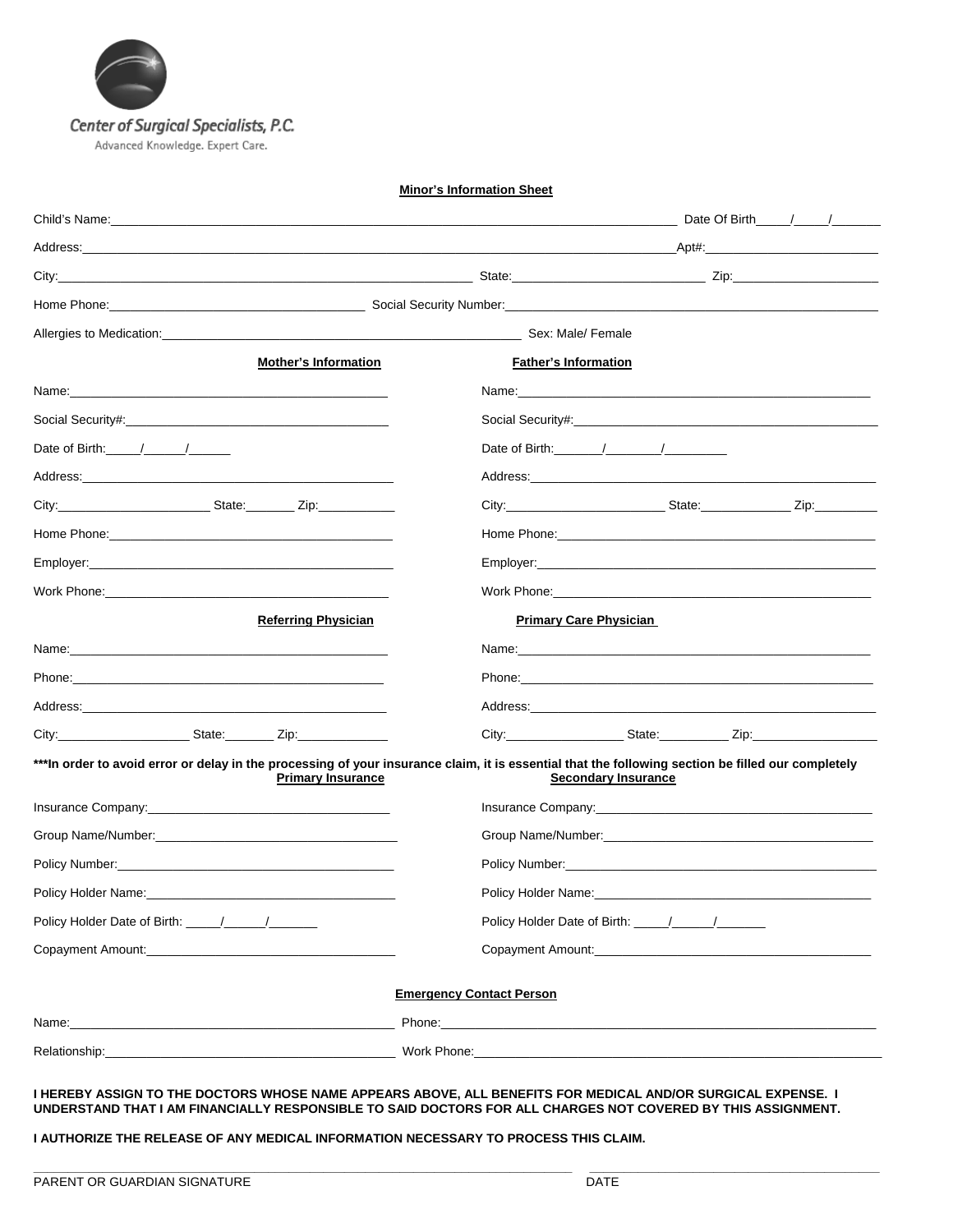

#### **Minor's Information Sheet**

| <b>Mother's Information</b>                                                                                                                                                                                                                                                                                         | <b>Father's Information</b>                                                                                                                                                                                                                                                                        |
|---------------------------------------------------------------------------------------------------------------------------------------------------------------------------------------------------------------------------------------------------------------------------------------------------------------------|----------------------------------------------------------------------------------------------------------------------------------------------------------------------------------------------------------------------------------------------------------------------------------------------------|
|                                                                                                                                                                                                                                                                                                                     |                                                                                                                                                                                                                                                                                                    |
|                                                                                                                                                                                                                                                                                                                     |                                                                                                                                                                                                                                                                                                    |
| Date of Birth: $\frac{1}{2}$ $\frac{1}{2}$ $\frac{1}{2}$ $\frac{1}{2}$ $\frac{1}{2}$ $\frac{1}{2}$ $\frac{1}{2}$ $\frac{1}{2}$ $\frac{1}{2}$ $\frac{1}{2}$ $\frac{1}{2}$ $\frac{1}{2}$ $\frac{1}{2}$ $\frac{1}{2}$ $\frac{1}{2}$ $\frac{1}{2}$ $\frac{1}{2}$ $\frac{1}{2}$ $\frac{1}{2}$ $\frac{1}{2}$ $\frac{1}{2$ | Date of Birth: $\frac{1}{2}$ / $\frac{1}{2}$ / $\frac{1}{2}$ / $\frac{1}{2}$ / $\frac{1}{2}$ / $\frac{1}{2}$ / $\frac{1}{2}$ / $\frac{1}{2}$ / $\frac{1}{2}$ / $\frac{1}{2}$ / $\frac{1}{2}$ / $\frac{1}{2}$ / $\frac{1}{2}$ / $\frac{1}{2}$ / $\frac{1}{2}$ / $\frac{1}{2}$ / $\frac{1}{2}$ / $\$ |
|                                                                                                                                                                                                                                                                                                                     |                                                                                                                                                                                                                                                                                                    |
|                                                                                                                                                                                                                                                                                                                     |                                                                                                                                                                                                                                                                                                    |
|                                                                                                                                                                                                                                                                                                                     |                                                                                                                                                                                                                                                                                                    |
|                                                                                                                                                                                                                                                                                                                     |                                                                                                                                                                                                                                                                                                    |
|                                                                                                                                                                                                                                                                                                                     |                                                                                                                                                                                                                                                                                                    |
| <b>Referring Physician</b>                                                                                                                                                                                                                                                                                          | <b>Primary Care Physician</b>                                                                                                                                                                                                                                                                      |
|                                                                                                                                                                                                                                                                                                                     |                                                                                                                                                                                                                                                                                                    |
|                                                                                                                                                                                                                                                                                                                     |                                                                                                                                                                                                                                                                                                    |
|                                                                                                                                                                                                                                                                                                                     |                                                                                                                                                                                                                                                                                                    |
| City:____________________________State:__________ Zip:__________________________                                                                                                                                                                                                                                    |                                                                                                                                                                                                                                                                                                    |
| <b>Primary Insurance</b>                                                                                                                                                                                                                                                                                            | *** In order to avoid error or delay in the processing of your insurance claim, it is essential that the following section be filled our completely<br><b>Secondary Insurance</b>                                                                                                                  |
|                                                                                                                                                                                                                                                                                                                     |                                                                                                                                                                                                                                                                                                    |
|                                                                                                                                                                                                                                                                                                                     |                                                                                                                                                                                                                                                                                                    |
|                                                                                                                                                                                                                                                                                                                     | Policy Number: the contract of the contract of the contract of the contract of the contract of the contract of the contract of the contract of the contract of the contract of the contract of the contract of the contract of                                                                     |
|                                                                                                                                                                                                                                                                                                                     |                                                                                                                                                                                                                                                                                                    |
|                                                                                                                                                                                                                                                                                                                     |                                                                                                                                                                                                                                                                                                    |
|                                                                                                                                                                                                                                                                                                                     |                                                                                                                                                                                                                                                                                                    |
|                                                                                                                                                                                                                                                                                                                     | <b>Emergency Contact Person</b>                                                                                                                                                                                                                                                                    |
|                                                                                                                                                                                                                                                                                                                     |                                                                                                                                                                                                                                                                                                    |
| Relationship: Note of the Contract of the Contract of the Contract of the Contract of the Contract of the Contract of the Contract of the Contract of the Contract of the Contract of the Contract of the Contract of the Cont                                                                                      | Work Phone: Note of the Contract of the Contract of the Contract of the Contract of the Contract of the Contract of the Contract of the Contract of the Contract of the Contract of the Contract of the Contract of the Contra                                                                     |

#### **I HEREBY ASSIGN TO THE DOCTORS WHOSE NAME APPEARS ABOVE, ALL BENEFITS FOR MEDICAL AND/OR SURGICAL EXPENSE. I UNDERSTAND THAT I AM FINANCIALLY RESPONSIBLE TO SAID DOCTORS FOR ALL CHARGES NOT COVERED BY THIS ASSIGNMENT.**

**\_\_\_\_\_\_\_\_\_\_\_\_\_\_\_\_\_\_\_\_\_\_\_\_\_\_\_\_\_\_\_\_\_\_\_\_\_\_\_\_\_\_\_\_\_\_\_\_\_\_\_\_\_\_\_\_\_\_\_\_\_\_\_\_\_\_\_\_\_\_\_\_\_\_\_\_\_\_ \_\_\_\_\_\_\_\_\_\_\_\_\_\_\_\_\_\_\_\_\_\_\_\_\_\_\_\_\_\_\_\_\_\_\_\_\_\_\_\_\_\_** 

**I AUTHORIZE THE RELEASE OF ANY MEDICAL INFORMATION NECESSARY TO PROCESS THIS CLAIM.**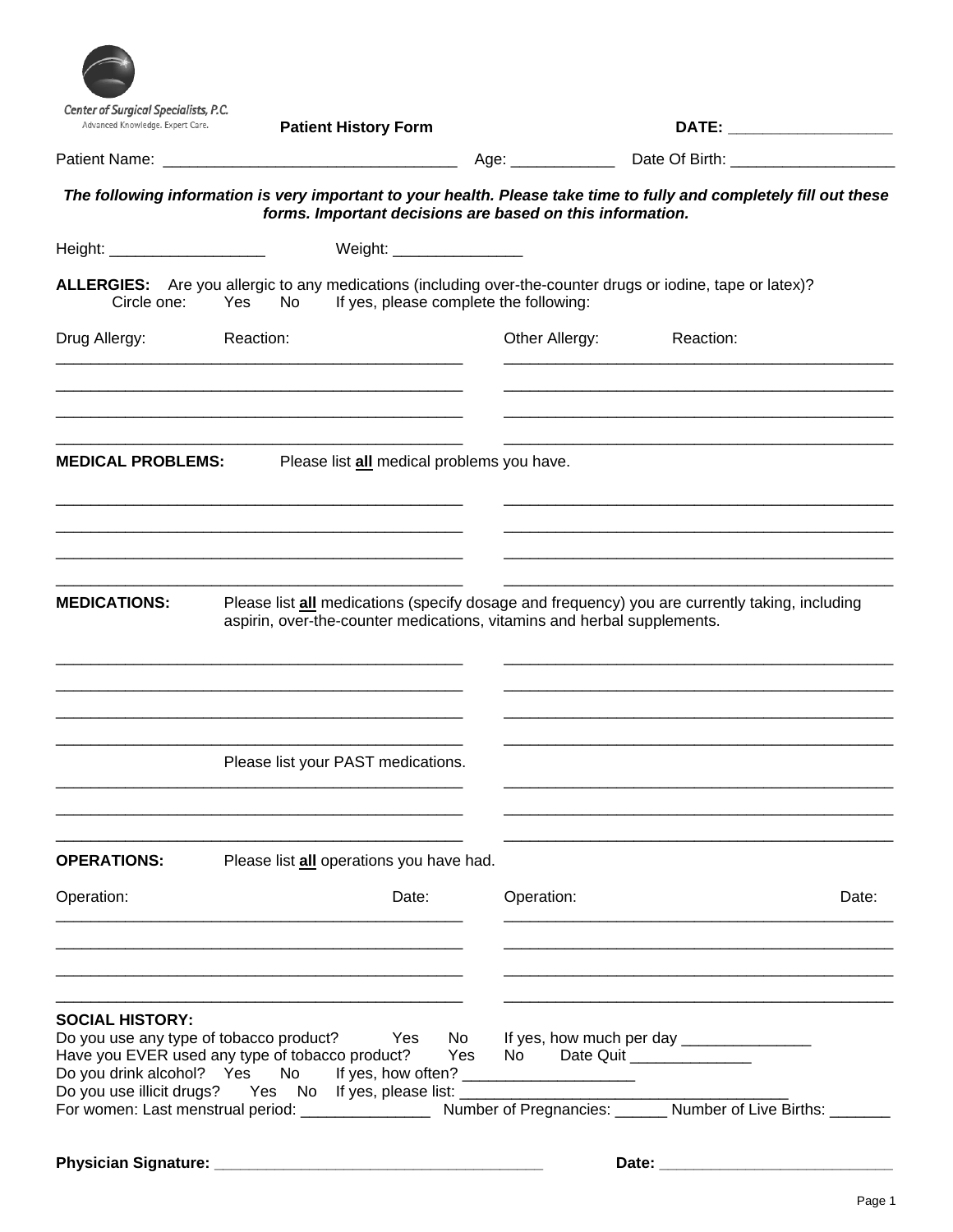|                               | Center of Surgical Specialists, P.C.<br>Advanced Knowledge. Expert Care.<br><b>Patient History Form</b> |                                                           | DATE: ________________________                                                                                      |       |
|-------------------------------|---------------------------------------------------------------------------------------------------------|-----------------------------------------------------------|---------------------------------------------------------------------------------------------------------------------|-------|
|                               |                                                                                                         |                                                           |                                                                                                                     |       |
|                               |                                                                                                         | forms. Important decisions are based on this information. | The following information is very important to your health. Please take time to fully and completely fill out these |       |
| Height: _____________________ |                                                                                                         | Weight: __________________                                |                                                                                                                     |       |
| Circle one:                   | Yes<br>No                                                                                               | If yes, please complete the following:                    | ALLERGIES: Are you allergic to any medications (including over-the-counter drugs or iodine, tape or latex)?         |       |
| Drug Allergy:                 | Reaction:                                                                                               | Other Allergy:                                            | Reaction:                                                                                                           |       |
| <b>MEDICAL PROBLEMS:</b>      |                                                                                                         | Please list all medical problems you have.                |                                                                                                                     |       |
| <b>MEDICATIONS:</b>           | aspirin, over-the-counter medications, vitamins and herbal supplements.                                 |                                                           | Please list all medications (specify dosage and frequency) you are currently taking, including                      |       |
|                               |                                                                                                         |                                                           |                                                                                                                     |       |
|                               | Please list your PAST medications.                                                                      |                                                           |                                                                                                                     |       |
| <b>OPERATIONS:</b>            | Please list all operations you have had.                                                                |                                                           |                                                                                                                     |       |
| Operation:                    |                                                                                                         | Date:<br>Operation:                                       |                                                                                                                     | Date: |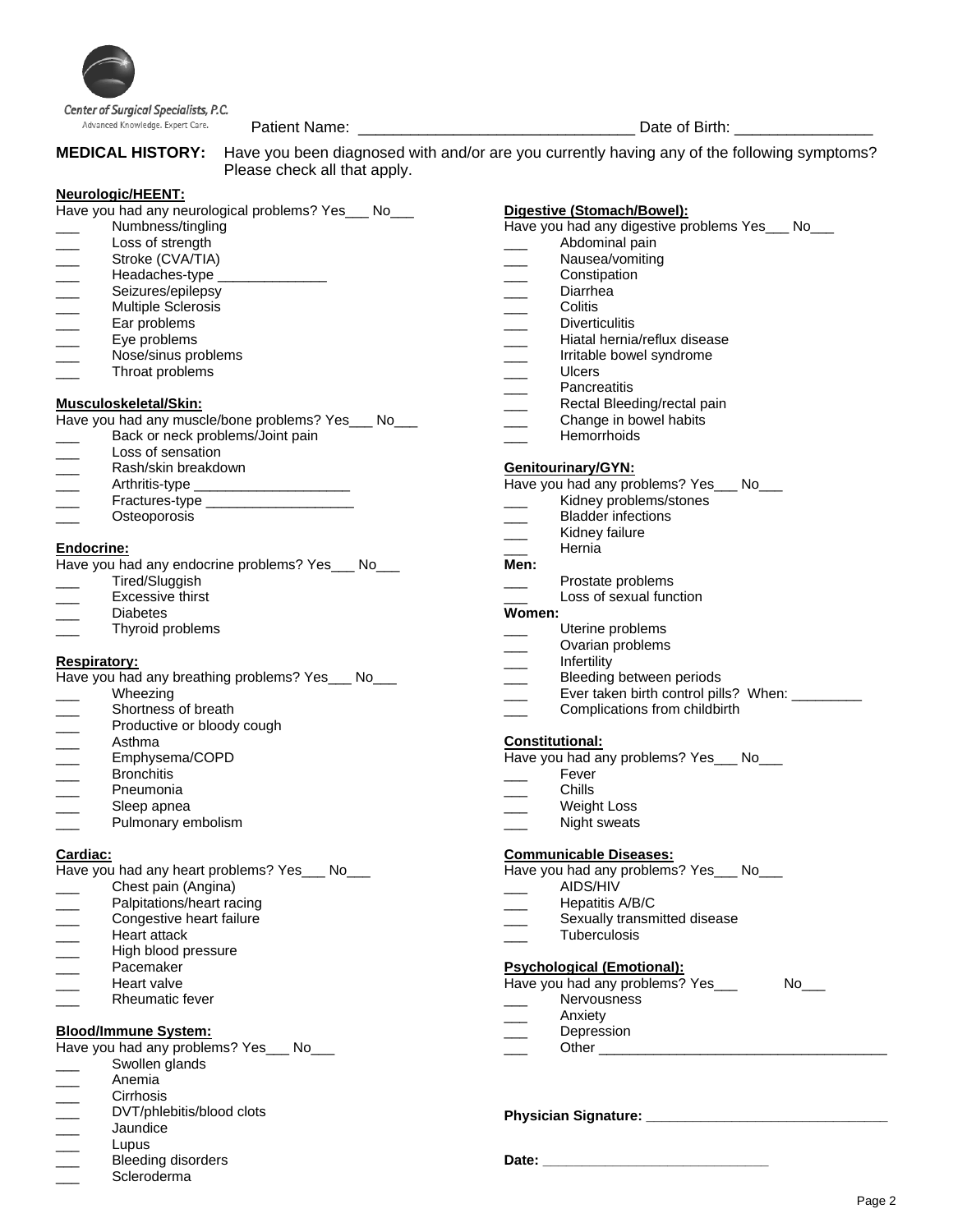

Advanced Knowledge. Expert Care.

Patient Name: \_\_\_\_\_\_\_\_\_\_\_\_\_\_\_\_\_\_\_\_\_\_\_\_\_\_\_\_\_\_\_\_ Date of Birth: \_\_\_\_\_\_\_\_\_\_\_\_\_\_\_\_ **MEDICAL HISTORY:** Have you been diagnosed with and/or are you currently having any of the following symptoms? Please check all that apply.

#### **Neurologic/HEENT:**

|                          | Have you had any neurological problems? Yes___ No___<br>Numbness/tingling | <u>Digestive</u><br>Have you |
|--------------------------|---------------------------------------------------------------------------|------------------------------|
|                          | Loss of strength                                                          |                              |
|                          | Stroke (CVA/TIA)                                                          |                              |
| $\overline{\phantom{a}}$ | Headaches-type _______________                                            |                              |
|                          | Seizures/epilepsy                                                         |                              |
|                          | <b>Multiple Sclerosis</b>                                                 |                              |
|                          | Ear problems                                                              |                              |
|                          | Eye problems                                                              |                              |
|                          | Nose/sinus problems                                                       |                              |
|                          | Throat problems                                                           |                              |
|                          |                                                                           |                              |
|                          | Musculoskeletal/Skin:                                                     |                              |
|                          | Have you had any muscle/bone problems? Yes___ No___                       |                              |
|                          | Back or neck problems/Joint pain                                          |                              |
|                          | Loss of sensation                                                         |                              |
|                          |                                                                           | Genitour                     |
|                          | Rash/skin breakdown<br>Arthritis-type ______________________              | Have you                     |
|                          | Fractures-type ______________________                                     |                              |
|                          | Osteoporosis                                                              |                              |
|                          |                                                                           |                              |
| <b>Endocrine:</b>        |                                                                           |                              |
|                          | Have you had any endocrine problems? Yes___ No___                         | Men:                         |
|                          | Tired/Sluggish                                                            |                              |
|                          | <b>Excessive thirst</b>                                                   |                              |
|                          | Diabetes                                                                  | Women:                       |
|                          | Thyroid problems                                                          |                              |
|                          |                                                                           |                              |
|                          | Respiratory:                                                              |                              |
|                          | Have you had any breathing problems? Yes___ No___                         |                              |
|                          | Wheezing                                                                  |                              |
|                          | Shortness of breath                                                       |                              |
|                          | Productive or bloody cough                                                |                              |
| $\overline{\phantom{a}}$ | Asthma                                                                    | <u>Constitut</u>             |
|                          | Emphysema/COPD                                                            |                              |
|                          |                                                                           | Have you                     |
|                          | <b>Bronchitis</b>                                                         |                              |
|                          | Pneumonia                                                                 |                              |
|                          | Sleep apnea                                                               |                              |
|                          | Pulmonary embolism                                                        |                              |
| Cardiac:                 |                                                                           | Commun                       |
|                          |                                                                           |                              |
|                          | Have you had any heart problems? Yes___ No___                             | Have you                     |
|                          | Chest pain (Angina)                                                       |                              |
|                          | Palpitations/heart racing                                                 |                              |
|                          | Congestive heart failure                                                  |                              |
|                          | <b>Heart attack</b>                                                       |                              |
|                          | High blood pressure                                                       |                              |
|                          | Pacemaker                                                                 | <b>Psycholo</b>              |
|                          | Heart valve                                                               | Have you                     |
|                          | Rheumatic fever                                                           |                              |
|                          |                                                                           |                              |
|                          | <b>Blood/Immune System:</b>                                               |                              |
|                          |                                                                           |                              |
|                          | Have you had any problems? Yes___ No___                                   |                              |
|                          | Swollen glands                                                            |                              |
|                          | Anemia<br>Circhoio                                                        |                              |
|                          |                                                                           |                              |

- \_\_\_ Cirrhosis DVT/phlebitis/blood clots
- \_\_\_ Jaundice
- \_\_\_ Lupus
- Bleeding disorders
- Scleroderma

# **P** (Stomach/Bowel):

had any digestive problems Yes\_\_\_ No\_\_\_

- Abdominal pain
- Nausea/vomiting
- **Constipation**
- **Diarrhea**
- \_\_\_ Colitis
- **Diverticulitis**
- Hiatal hernia/reflux disease
- Irritable bowel syndrome
- \_\_\_ Ulcers
- **Pancreatitis**
- Rectal Bleeding/rectal pain
- Change in bowel habits
- Hemorrhoids

#### finary/GYN:

| Have you had any problems? Yes_ |  | No |
|---------------------------------|--|----|
|                                 |  |    |

- Kidney problems/stones
- \_\_\_ Bladder infections
- Kidney failure
- \_\_\_ Hernia
	- Prostate problems
	- Loss of sexual function

- Uterine problems
- Ovarian problems
- \_\_\_ Infertility
- Bleeding between periods
- Ever taken birth control pills? When: \_
- Complications from childbirth

#### <u>tional:</u>

- had any problems? Yes\_\_\_ No\_\_\_
- Fever
- \_\_\_ Chills
- Weight Loss
- Night sweats

#### **Communicable Diseases:**

had any problems? Yes\_\_\_ No\_\_\_

- AIDS/HIV
- Hepatitis A/B/C
- Sexually transmitted disease
- \_\_\_ Tuberculosis

#### **Principal (Emotional):**

had any problems? Yes\_\_\_ No\_\_\_

- Nervousness
- Anxiety Depression
- 
- Other  $\overline{\phantom{a}}$

#### **Physician Signature: \_\_\_\_\_\_\_\_\_\_\_\_\_\_\_\_\_\_\_\_\_\_\_\_\_\_\_\_\_\_\_**

**Date: \_\_\_\_\_\_\_\_\_\_\_\_\_\_\_\_\_\_\_\_\_\_\_\_\_\_\_\_\_**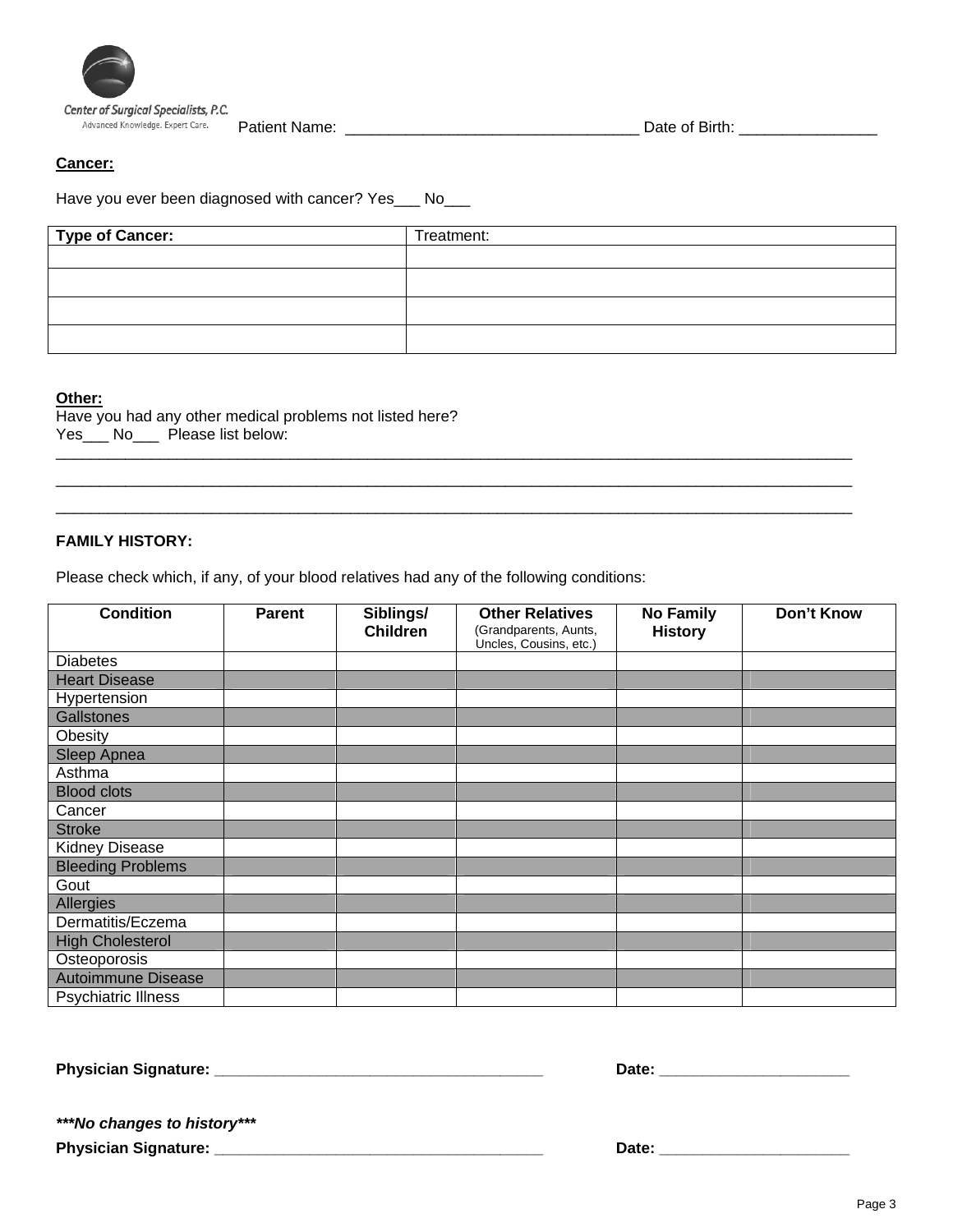

#### **Cancer:**

Have you ever been diagnosed with cancer? Yes\_\_\_ No\_\_\_

| Type of Cancer: | Treatment: |
|-----------------|------------|
|                 |            |
|                 |            |
|                 |            |
|                 |            |

 $\Box$  $\Box$  $\Box$ 

### **Other:**

Have you had any other medical problems not listed here? Yes\_\_\_ No\_\_\_ Please list below:

### **FAMILY HISTORY:**

Please check which, if any, of your blood relatives had any of the following conditions:

| <b>Condition</b>           | <b>Parent</b> | Siblings/<br><b>Children</b> | <b>Other Relatives</b><br>(Grandparents, Aunts, | <b>No Family</b><br><b>History</b> | Don't Know |
|----------------------------|---------------|------------------------------|-------------------------------------------------|------------------------------------|------------|
| <b>Diabetes</b>            |               |                              | Uncles, Cousins, etc.)                          |                                    |            |
| <b>Heart Disease</b>       |               |                              |                                                 |                                    |            |
| Hypertension               |               |                              |                                                 |                                    |            |
| Gallstones                 |               |                              |                                                 |                                    |            |
| Obesity                    |               |                              |                                                 |                                    |            |
| <b>Sleep Apnea</b>         |               |                              |                                                 |                                    |            |
| Asthma                     |               |                              |                                                 |                                    |            |
| <b>Blood clots</b>         |               |                              |                                                 |                                    |            |
| Cancer                     |               |                              |                                                 |                                    |            |
| <b>Stroke</b>              |               |                              |                                                 |                                    |            |
| <b>Kidney Disease</b>      |               |                              |                                                 |                                    |            |
| <b>Bleeding Problems</b>   |               |                              |                                                 |                                    |            |
| Gout                       |               |                              |                                                 |                                    |            |
| Allergies                  |               |                              |                                                 |                                    |            |
| Dermatitis/Eczema          |               |                              |                                                 |                                    |            |
| <b>High Cholesterol</b>    |               |                              |                                                 |                                    |            |
| Osteoporosis               |               |                              |                                                 |                                    |            |
| <b>Autoimmune Disease</b>  |               |                              |                                                 |                                    |            |
| <b>Psychiatric Illness</b> |               |                              |                                                 |                                    |            |

**Physician Signature: \_\_\_\_\_\_\_\_\_\_\_\_\_\_\_\_\_\_\_\_\_\_\_\_\_\_\_\_\_\_\_\_\_\_\_\_\_\_ Date: \_\_\_\_\_\_\_\_\_\_\_\_\_\_\_\_\_\_\_\_\_\_** 

| Date: |  |
|-------|--|
|       |  |

*\*\*\*No changes to history\*\*\**

**Physician Signature: \_\_\_\_\_\_\_\_\_\_\_\_\_\_\_\_\_\_\_\_\_\_\_\_\_\_\_\_\_\_\_\_\_\_\_\_\_\_ Date: \_\_\_\_\_\_\_\_\_\_\_\_\_\_\_\_\_\_\_\_\_\_**